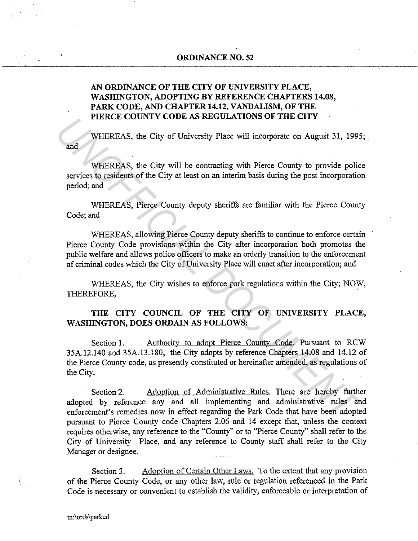# **ORDINANCE NO. 52**

# **AN ORDINANCE OF THE CITY OF UNIVERSITY PLACE, WASHINGTON, ADOPTING BY REFERENCE CHAPTERS 14.08, PARK CODE, AND CHAPTER 14.12, VANDALISM, OF THE PIERCE COUNTY CODE AS REGULATIONS OF THE CITY**

and WHEREAS, the City of University Place will incorporate on August 31, 1995;

WHEREAS, the City will be contracting with Pierce County to provide police services to residents of the City at least on an interim basis during the post incorporation period; and

WHEREAS, Pierce County deputy sheriffs are familiar with the Pierce County Code; and

WHEREAS, allowing Pierce County deputy sheriffs to continue to enforce certain Pierce County Code provisions within the City after incorporation both promotes the public welfare and allows police officers to make an orderly transition to the enforcement of criminal codes which the City of University Place will enact after incorporation; and

WHEREAS, the City wishes to enforce park regulations within the City; NOW, THEREFORE, .

# **THE CITY COUNCIL OF THE CITY OF UNIVERSITY PLACE,**  WASHINGTON, DOES ORDAIN AS FOLLOWS:

Section 1. Authority to adopt Pierce County Code. Pursuant to RCW 35A.12.140 and 35A.13.180, the City adopts by reference Chapters 14.08 and 14.12 of the Pierce County code, as presently constituted or hereinafter amended, as regulations of the City. **THEREAS, the City of University Place will incorporate on August 31, 1995<br>
<b>EXECUTE AS**, the City of University Place will incorporate on August 31, 1995<br> **WHEREAS**, the City will be contracting with Pierce County to prov

Section 2. Adoption of Administrative Rules. There are hereby further adopted by reference any and all implementing and administrative rules and enforcement's remedies now in effect regarding the Park Code that have been adopted pursuant to Pierce County code Chapters 2.06 and 14 except that, unless the context requires otherwise, any reference to the "County" or to "Pierce County" shall refer to the City of University Place, and any reference to County staff shall refer to the City Manager or designee.

Section 3. Adoption of Certain Other Laws. To the extent that any provision of the Pierce County Code, or any other law, rule or regulation referenced in the Park Code is necessary or convenient to establish the validity, enforceable or interpretation of

.<br>.<br>.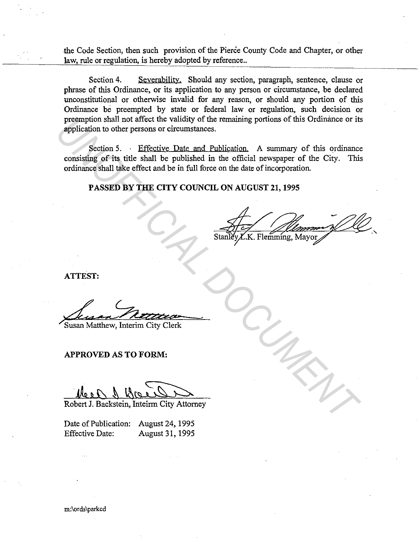the Code Section, then such provision of the Pierce County Code and Chapter, or other law, rule or regulation, is hereby adopted by reference..

Section 4. Severability. Should any section, paragraph, sentence, clause or phrase of this Ordinance, or its application to any person or circumstance, be declared unconstitutional or otherwise invalid for any reason, or should any portion of this Ordinance be preempted by state or federal law or regulation, such decision or preemption shall not affect the validity of the remaining portions of this Ordinance or its application to other persons or circumstances.

Section 5. • Effective Date and Publication. A summary of this ordinance consisting of its title shall be published in the official newspaper of the City. This ordinance shall take effect and be in full force on the date of incorporation. preception shall not affect the validity of the remaining portions of this Ordinance or its<br>application to other persons or circumstances.<br>Section 5. In Effective Date and Published in the official newspaper of the City. T

PASSED BY THE CITY COUNCIL ON AUGUST 21, 1995

ATTEST:

APPROVED AS TO FORM:

Robert J. Backstein, Inteirm City Attorney

Date of Publication: August 24, 1995 Effective Date: August 31, 1995

m:\ords\parkcd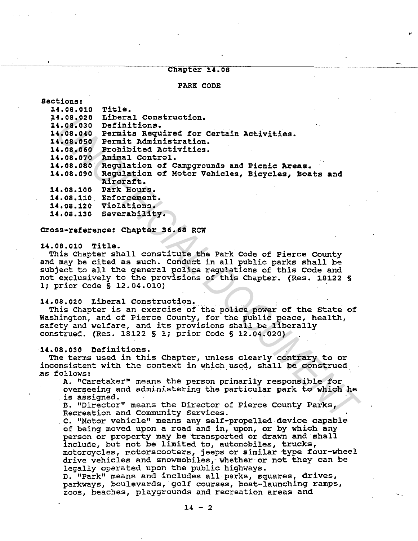# Chapter 14.08

### PARK CODE

| Sections:              |                                                                                                |  |
|------------------------|------------------------------------------------------------------------------------------------|--|
| 14.08.010              | Title.                                                                                         |  |
| 14.08.020              | Liberal Construction.                                                                          |  |
| 14.08.030              | Definitions.                                                                                   |  |
| 14.08.040              | Permits Required for Certain Activities.                                                       |  |
| 14.08.050              | Permit Administration.                                                                         |  |
| 14.08.060              | Prohibited Activities.                                                                         |  |
| 14.08.070              | Animal Control.                                                                                |  |
| 14.08.080              | Regulation of Campgrounds and Picnic Areas.                                                    |  |
| 14.08.090              | Regulation of Motor Vehicles, Bicycles, Boats and                                              |  |
|                        | Aircraft.                                                                                      |  |
| 14.08.100              | Park Hours.                                                                                    |  |
|                        | 14.08.110 Enforcement.                                                                         |  |
|                        | 14.08.120 Violations.                                                                          |  |
|                        | 14.08.130 Severability.                                                                        |  |
|                        | Cross-reference: Chapter 36.68 RCW                                                             |  |
| 14.08.010              | Title.                                                                                         |  |
|                        | This Chapter shall constitute the Park Code of Pierce County                                   |  |
|                        | and may be cited as such. Conduct in all public parks shall be                                 |  |
|                        | subject to all the general police regulations of this Code and                                 |  |
|                        | not exclusively to the provisions of this Chapter. (Res. 18122 §<br>1; prior Code § 12.04.010) |  |
|                        | 14.08.020 Liberal Construction.                                                                |  |
|                        | This Chapter is an exercise of the police power of the State of                                |  |
|                        | Washington, and of Pierce County, for the public peace, health,                                |  |
|                        | safety and welfare, and its provisions shall be liberally                                      |  |
|                        | construed. (Res. 18122 § 1; prior Code § 12.04.020)                                            |  |
|                        |                                                                                                |  |
| 14.08.030 Definitions. |                                                                                                |  |
|                        | The terms used in this Chapter, unless clearly contrary to or                                  |  |
|                        | inconsistent with the context in which used, shall be construed                                |  |
| as follows:            |                                                                                                |  |
|                        | A. "Caretaker" means the person primarily responsible for                                      |  |
|                        | overseeing and administering the particular park to which he                                   |  |
| is assigned.           |                                                                                                |  |
|                        | B. "Director" means the Director of Pierce County Parks,<br>Recreation and Community Services. |  |
|                        | C. "Motor vehicle" means any self-propelled device capable                                     |  |

#### 14.08.010 Title.

#### 14.08,020 Liberal Construction.

#### 14.08,030 Definitions.

. c. "Motor vehicle" means any self-propelled device capable of being moved upon a road and in, upon, or by which any person or property may be transported or drawn and shall include, but not be limited to, automobiles, trucks, motorcycles, motorscooters, jeeps or similar type four-wheel drive vehicles and snowmobiles, whether or not they can be legally operated upon the public highways.

D. "Park" means and includes all parks, squares, drives, parkways, boulevards, golf courses, boat-launching ramps, zoos, beaches, playgrounds and recreation areas and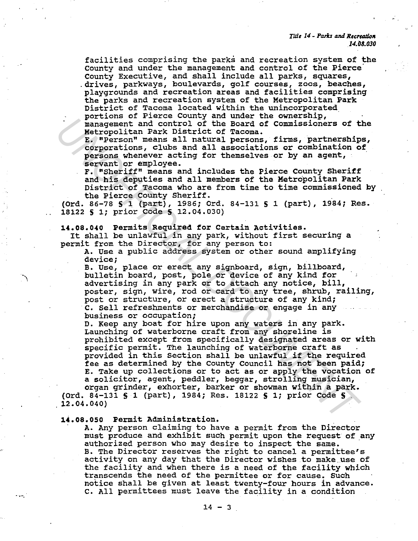*Tille 14 - Parks and Recreation 14.08.030* 

facilities comprising the parks and recreation system of the county and under the management and control of the Pierce· County Executive, and shall include all parks, squares, .drives, parkways, boulevards, golf courses, zoos, beaches, playgrounds and recreation areas and facilities comprising the parks and recreation system of the Metropolitan Park<br>District of Tacoma located within the unincorporated District of Tacoma located with the ownership,<br>management and control of the Board of Commissioners of the

Metropolitan Park District of Tacoma.

E. "Person" means all natural persons, firms, partnerships, corporations, clubs and all associations or combination of persons whenever acting for themselves or by an agent, servant or employee.

F. "Sheriff" means and includes the Pierce County Sheriff and his deputies and all members of the Metropolitan Park District of Tacoma who are from time to time commissioned by the Pierce County Sheriff.

(Ord. 86-78 S 1 (part), 1986; Ord. 84-131 S 1 (part), 1984; Res. 18122 S 1; prior Code S 12.04.030)

14.08.040 Permits Required for Certain Activities.

It shall be unlawful in any park, without first securing a permit from the Director, for any person to:

A. Use a public address system or other sound amplifying device;

B. Use, place or erect any signboard, sign, billboard, bulletin board, post, pole or device of any kind for advertising in any park or to attach any notice, bill, poster, sign, wire, rod or card to any tree, shrub, railing, post or structure, or erect a structure of any kind; c. Sell refreshments or merchandise or engage in any business or occupation;

D. Keep any boat for hire upon any waters in any park. Launching of waterborne craft from any shoreline is prohibited except from specifically designated areas or with specific permit. The launching of waterborne craft as provided in this Section shall be unlawful if the required fee as determined by the County Council has not been paid; E. Take up collections or to act as or apply the vocation of a solicitor, agent, peddler, beggar, strolling musician, pursoner and bilance and the based remembers of the pursoner and the straphening of the straphening and the strain facebook commissioners of the precision of commission of commission of commission of the precisions and in

organ grinder, exhorter, barker or showman within a park. (Ord. 84-131 § 1 (part), 1984; Res. 18122 S 1; prior Code **S**   $12.04.040$ 

**14.oa.oso** Permit Administration.

.-.-.

A. Any person claiming to have a permit from the Director must produce and exhibit such permit upon the request of any authorized person who may desire to inspect the same. B. The Director reserves the right to cancel a permittee's activity on any day that the Director wishes to make use of the facility and when there is a need of the facility which transcends the need of the permittee or for cause. Such notice shall be given at least twenty-four hours in advance. c. All permittees must leave the facility in a condition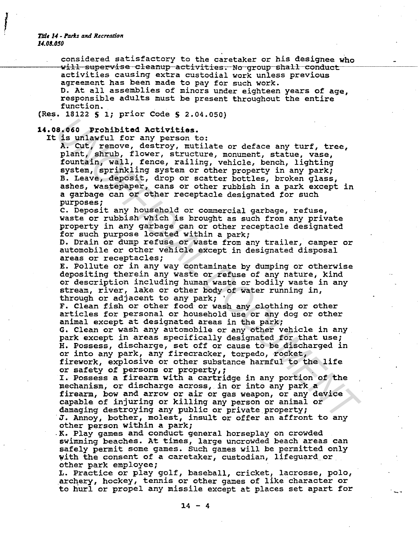*Title 14 - Parks and Recreation U.08.050* 

f

considered satisfactory to the caretaker or his designee who will supervise cleanup activities. No group shall conduct activities causing extra custodial work unless previous agreement has been made to pay for such work. D. At all assemblies of minors under eighteen years of age, responsible adults must be present throughout the entire function.

(Res. 18122 S l; prior Code S 2.04.050)

#### 1•.oa.060 Prohibited Activities.

It is unlawful for any person to:

A. cut, remove, destroy, mutilate or deface any turf, tree, plant, shrub, flower, structure, monument, statue, vase, fountain, wall, fence, railing, vehicle, bench, lighting system, sprinkling system or other property in any park; B. Leave, deposit, drop or scatter bottles, broken glass, ashes, wastepaper, cans or other rubbish in a park except in a garbage can or other receptacle designated for such purposes; 8.060 Problished Activities.<br>
<sup>25</sup>.060 Problished Activities.<br>
<sup>25</sup>. Cut, Tenove, destroy, mutilate or deface any turf, tree,<br>
2A. Cut, Tenove, destroy, mutilate or deface any turf, tree,<br>
2A. Cut, Tenove, destroy, mutilat

C. Deposit any household or commercial garbage, refuse, waste or rubbish which is brought as such from any private property in any garbage can or other receptacle designated for such purpose located within a park;

D. Drain or dump refuse or waste from any trailer, camper or automobile or other vehicle except in designated disposal areas or receptacles;

E. Pollute or in any way contaminate by dumping or otherwise depositing therein any waste or refuse of any nature, kind or description including human waste or bodily waste in any stream, river, lake or other body of water running in, through or adjacent to any park;

F. Clean fish or other food or wash any clothing or other articles for personal or household use or any dog or other animal except at designated areas in the park;

G. Clean or wash any automobile or any other vehicle in any park except in areas specifically designated for that use; H. Possess, discharge, set off or cause to be discharged in or into any park, any firecracker, torpedo, rocket, firework, explosive or other substance harmful to the life or safety of persons or property,;

I. Possess a firearm with a cartridge in any portion of the mechanism, or discharge across, in or into any park a firearm, bow and arrow or air or gas weapon, or any device capable of injuring or killing any person or animal or damaging destroying any public or private property; J. Annoy, bother, molest, insult or offer an affront to any other person within a park;

.K. Play games and conduct general horseplay on crowded swimming beaches. At times, large uncrowded beach areas can safely permit some games. such games will be permitted only with the consent of a caretaker, custodian, lifeguard or other park employee;

L. Practice or play golf, baseball, cricket, lacrosse, polo, archery, hockey, tennis or other games of like character or to hurl or propel any missile except at places set apart for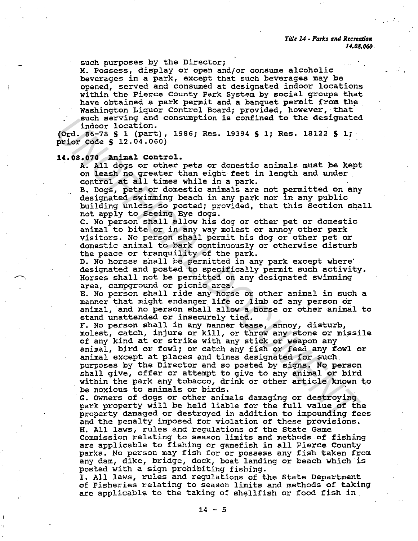such purposes by the Director;

M. Possess, display or open and/or consume alcoholic beverages in a park, except that such beverages may be opened, served and consumed at designated indoor locations within the Pierce County Park System by social groups that have obtained a park permit and a banquet permit from the Washington Liquor Control Board; provided, however, that such serving and consumption is confined to the designated indoor location.

(Ord. 86-78 S 1 (part), 1986; Res. 19394 **S** 1; Res. 18122 **S** 1; · prior Code S 12.04.060)

## **14.08.070** Animal control.

A. All dogs or other pets or domestic animals must be kept on leash no greater than eight feet in length and under control at all times while in a park.

B. Dogs, pets or domestic animals are not permitted on any designated swimming beach in any park nor in any public building unless so posted; provided, that this Section shall not apply to Seeing Eye dogs.

C. No person shall allow his dog or other pet or domestic animal to bite or in any way molest or annoy other park visitors. No person shall permit his dog or other pet or domestic animal to bark continuously or otherwise disturb the peace or tranquility of the park.

D. No horses shall be permitted in any park except where<br>designated and posted to specifically permit such activity. Horses shall not be permitted on any designated swimming area, campground or picnic area.

E. No person shall ride any horse or other animal in such a manner that might endanger life or limb of any person or animal, and no person shall allow a horse or other animal to stand unattended or insecurely tied.

F. No person shall in any manner tease, annoy, disturb, molest, catch, injure or kill, or throw any stone or missile of any kind at or strike with any stick or weapon any animal, bird or fowl; or catch any fish or feed any fowl or animal except at places and times designated for such purposes by the Director and so posted by signs. No person shall give, offer or attempt to give to any animal or bird within the park any tobacco, drink or other article known to be noxious to animals or birds. such serving and consumption is contined to the designate<br>indoor location.<br>(Ord. 86-78 s i (part), 1986; Res. 19394 \$ 1; Res. 19122 \$ 1;<br>Prior Code \$ 12.04.050)<br>Prior Code \$ 12.04.050)<br>11.03.070 Anilad Control.<br>A. MI degre

G. Owners of dogs or other animals damaging or destroying park property will be held liable for the full value of the property damaged or destroyed in addition to impounding fees and the penalty imposed for violation of these provisions. H. All laws, rules and regulations of the State Game Commission relating to season limits and methods of fishing parks. No person may fish for or possess any fish taken from any dam, dike, bridge, dock, boat landing or beach which is

posted with a sign prohibiting fishing.<br>I. All laws, rules and regulations of the State Department of Fisheries relating to season limits and methods of taking are applicable to the taking of shellfish or food fish in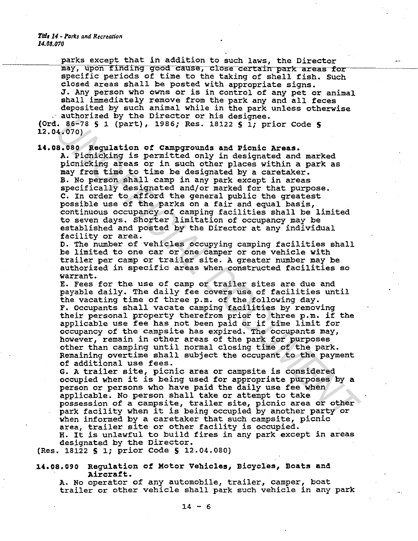*Title 14 - Parks and Recreation 14.08.070* 

parks except that in addition to such laws, the Director may, upon finding good cause, close certain park areas for specific periods of time to the taking of shell fish. Such closed areas shall be posted with appropriate signs. J. Any person who owns or is in control of any pet or animal shall immediately remove from the park any and all feces deposited by such animal while in the park unless otherwise authorized by the Director or his designee. (Ord. 86-78 S 1 (part), 1986; Res. 18122 S 1; prior Code S

12.04.070)

14.08.080 Regulation of Campgrounds and Picnic Areas.

A. Picnicking is permitted only in designated and marked picnicking areas or in such other places within a park as may from time to time be designated by a caretaker. B. No person shall camp *in* any park except in areas specifically designated and/or marked for that purpose. C. In order to afford the general public the greatest possible use of the parks on a fair and equal basis, continuous occupancy of camping facilities shall be limited to seven days. Shorter limitation of occupancy may be established and posted by the Director at any individual facility or area. 1 and 17 and 18 and 18 and 18 and 18 and 18 and 18 and 18 and 18 and 18 and 18 and 18 and 18 and 18 and 18 and 18 and 18 and 18 and 18 and 18 and 18 and 18 and 18 and 18 and 18 and 18 and 18 and 18 and 18 and 18 and 18 and

D. The number of vehicles occupying camping facilities shall be limited to one car or one camper or one vehicle with trailer per camp or trailer site. A greater number may be authorized in specific areas when constructed facilities so warrant.

E. Fees for the use of camp or trailer sites are due and payable daily. The daily fee covers use of facilities until the vacating time of three p.m. of the following day. F. Occupants shall vacate camping facilities by removing their personal property therefrom prior to three p.m. if the applicable use fee has not been paid or if time limit for occupancy of the campsite has expired. The occupants may, however, remain in other areas of the park for purposes other than camping until normal closing time of the park. Remaining overtime shall subject the occupant to the payment of additional use fees.

G. A trailer site, picnic area or campsite *is* considered occupied when it is being used for appropriate purposes by a person or persons who have paid the daily use fee when applicable. No person shall take or attempt to take possession of a campsite, trailer site, picnic area or other park facility when it *is* being occupied by another party or when informed by a caretaker that such campsite, picnic area, trailer site or other facility is occupied.

H. It is unlawful to build fires *in* any park except in areas designated by the Director.

(Res. 18122 S 1; prior Code S 12.04.080)

14.08.090 Regulation of Motor Vehicles, Bicycles, Boats and Aircraft.

A. No operator of any automobile, trailer, camper, boat trailer or other vehicle shall park such vehicle in any park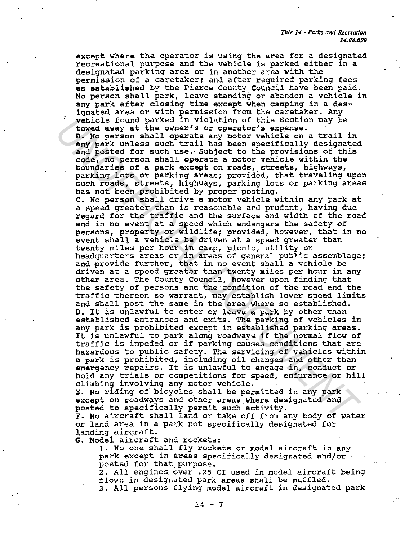*Title 14* - *Parts* tvUl *Recrtada11 14.08.090* 

except where the operator is using the area for a designated recreational purpose and the vehicle is parked either in a designated parking area or in another area with the permission of a caretaker; and after required parking fees as established by the Pierce County Council have been paid. No person shall park, leave standing or abandon a vehicle in any park after closing time except when camping in a designated area or with permission from the caretaker. Any vehicle found parked in violation of this Section may be towed away at the owner's or operator's expense. B. No person shall operate any motor vehicle on a trail in any park unless such trail has been specifically designated and posted for such use.- Subject to the provisions of this code, no person shall operate a motor vehicle within the boundaries of a park except on roads, streets, highways, parking lots or parking areas; provided, that traveling upon such roads, streets, highways, parking lots or parking areas has not been prohibited by proper posting. c. No person shall drive a motor vehicle within any park at a speed greater than is reasonable and prudent, having due regard for the traffic and the surface and width of the road and in no event at a speed which endangers the safety of persons, property or wildlife; provided, however, that in no event shall a vehicle be driven at a speed greater than twenty miles per hour in camp, picnic, utility or<br>headquarters areas or in areas of qeneral public assemblage; and provide further, that in no event shall a vehicle be driven at a speed greater than twenty miles per hour in any other area. The County Council, however upon finding that the safety of persons and the condition of the road and the traffic thereon so warrant, may establish lower speed limits and shall post the same *in* the area where so established. D. It *is* unlawful to enter or leave a park by other than established entrances and exits. The parking of vehicles *in*  any park *is* prohibited except in established parking areas. It is unlawful to park along roadways if the normal flow of traffic is impeded or if parking causes conditions that are hazardous to public safety. The servicing of vehicles within a park is prohibited, including oil changes and other than emergency repairs. It is unlawful to engage in, conduct or hold any trials or competitions for speed, endurance or hill climbing involving any motor vehicle. which is found parked in violation of this Section may be verific to over the over of the over operator's expense.<br>B. No person shall operate any motor vehicle on a trail in any park unless such trail has been specifically

E. No riding of bicycles shall be permitted in any park except on roadways and other areas where designated and posted to specifically permit such activity.

F. No aircraft shall land or take off from any body of water or land area *in* a park not specifically designated for landing aircraft.

G. Model aircraft and rockets:

1. No one shall fly rockets or model aircraft in any park except in areas specifically designated and/or posted for that\_purpose.

2. All engines over .25 CI used in model aircraft being flown in designated park areas shall be muffled.

3. All persons flying model aircraft in designated park

 $14 - 7$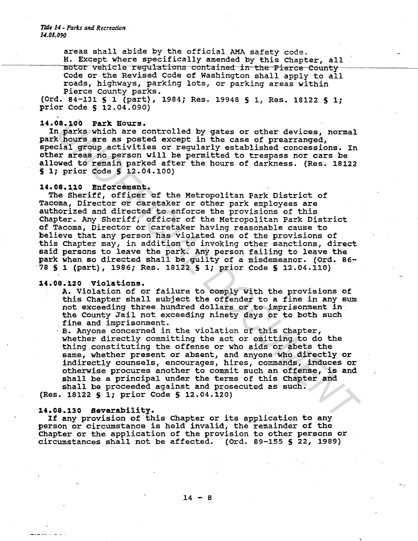**Title 14 - Parks and Recreation** *14.08.090* 

> areas shall abide by the official AMA safety code. H. Except where specifically amended by this Chapter, all motor vehicle regulations contained in the Pierce County-Code or the Revised Code of Washington shall apply to all roads, highways, parking lots, or parking areas within Pierce County parks.

(Ord. 84-131 S 1 (part), 1984; Res. 19948 S 1, Res. 18122 S 1; prior Code S 12.04.090)

## 14.08.100 Park Hours.

In parks which are controlled by gates or other devices, normal park hours are as posted except in the case of prearranged, special group activities or regularly established concessions. In other areas no person will be permitted to trespass nor cars be allowed to remain parked after the hours of darkness. (Res. 18122 S 1; prior Code S 12.04.100)

#### 14.08.110 Enforcement.

The Sheriff, officer of the Metropolitan Park District of Tacoma, Director or caretaker or other park employees are authorized and directed to enforce the provisions of this Chapter. Any Sheriff, officer of the Metropolitan Park District of Tacoma, Director or caretaker having reasonable cause to believe that any person has violated one of the provisions of this Chapter may, in addition to invoking other sanctions, direct said persons to leave the park. Any person failing to leave the park when so directed shall be guilty of a misdemeanor. (Ord. 86-78 S 1 (part), 1986; Res. 18122 S 1; prior Code S 12.04.110) 08.100 Park Rours. Gontrolled by gates or other devices, normal<br>**A** parks which are controlled by gates or other devices, normal<br>ind parks which are controlled by gates with the case of pregnancions. In<br>the signal parks or

## 14.08.120 Violations.

A. Violation of or failure to comply with the provisions of this Chapter shall subject the offender to a fine in any sum not exceeding three hundred dollars or to imprisonment in. the County Jail not exceeding ninety days or to both such fine and imprisonment.

B. Anyone concerned in the violation of this Chapter, whether directly committing the act or omitting to do the thing constituting the offense or who aids or abets the same, whether present or absent, and anyone who directly or indirectly counsels, encourages, hires, commands, induces or otherwise procures another to commit such an offense, is and shall be a principal under the terms of this Chapter and shall be proceeded against and prosecuted as such.

(Res. 18122 S 1; prior Code S 12.04.120)

## 14.08.130 Severability.

If any provision of this Chapter or its application to any person or circumstance is held invalid, the remainder of the Chapter or the application of the provision to other persons or circumstances shall not be affected. (Ord. 89-155 S 22, 1989)

 $14 - 8$